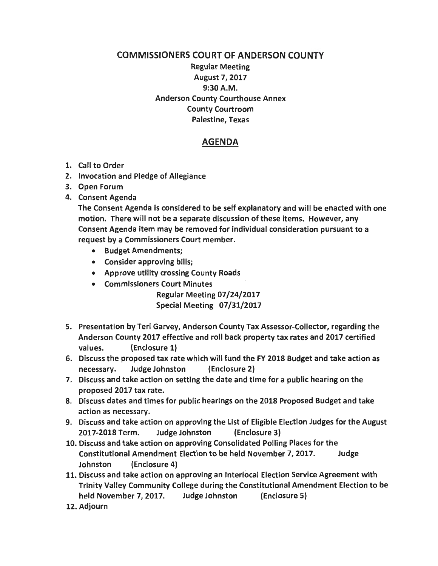## COMMISSIONERS COURT OF ANDERSON COUNTY

Regular Meeting August 7, 2017 9:30A.M. Anderson County Courthouse Annex County Courtroom Palestine, Texas

## AGENDA

- 1. Call to Order
- 2. Invocation and Pledge of Allegiance
- 3. Open Forum
- 4. Consent Agenda

The Consent Agenda is considered to be self explanatory and will be enacted with one motion. There will not be a separate discussion of these items. However, any Consent Agenda item may be removed for individual consideration pursuant to a request by a Commissioners Court member.

- Budget Amendments;
- Consider approving bills;
- Approve utility crossing County Roads
- Commissioners Court Minutes

Regular Meeting 07/24/2017 Special Meeting 07/31/2017

- 5. Presentation by Teri Garvey, Anderson County Tax Assessor-Collector, regarding the Anderson County 2017 effective and roll back property tax rates and 2017 certified values. (Enclosure 1)
- 6. Discuss the proposed tax rate which will fund the FY 2018 Budget and take action as necessary. Judge Johnston (Enclosure 2)
- 7. Discuss and take action on setting the date and time for a public hearing on the proposed 2017 tax rate.
- 8. Discuss dates and times for public hearings on the 2018 Proposed Budget and take action as necessary.
- 9. Discuss and take action on approving the List of Eligible Election Judges for the August 2017-2018 Term. Judge Johnston (Enclosure 3)
- 10. Discuss and take action on approving Consolidated Polling Places for the Constitutional Amendment Election to be held November 7, 2017. Judge Johnston (Enclosure 4)
- 11. Discuss and take action on approving an lnterlocal Election Service Agreement with Trinity Valley Community College during the Constitutional Amendment Election to be held November 7, 2017. Judge Johnston (Enclosure 5)
- 12. Adjourn